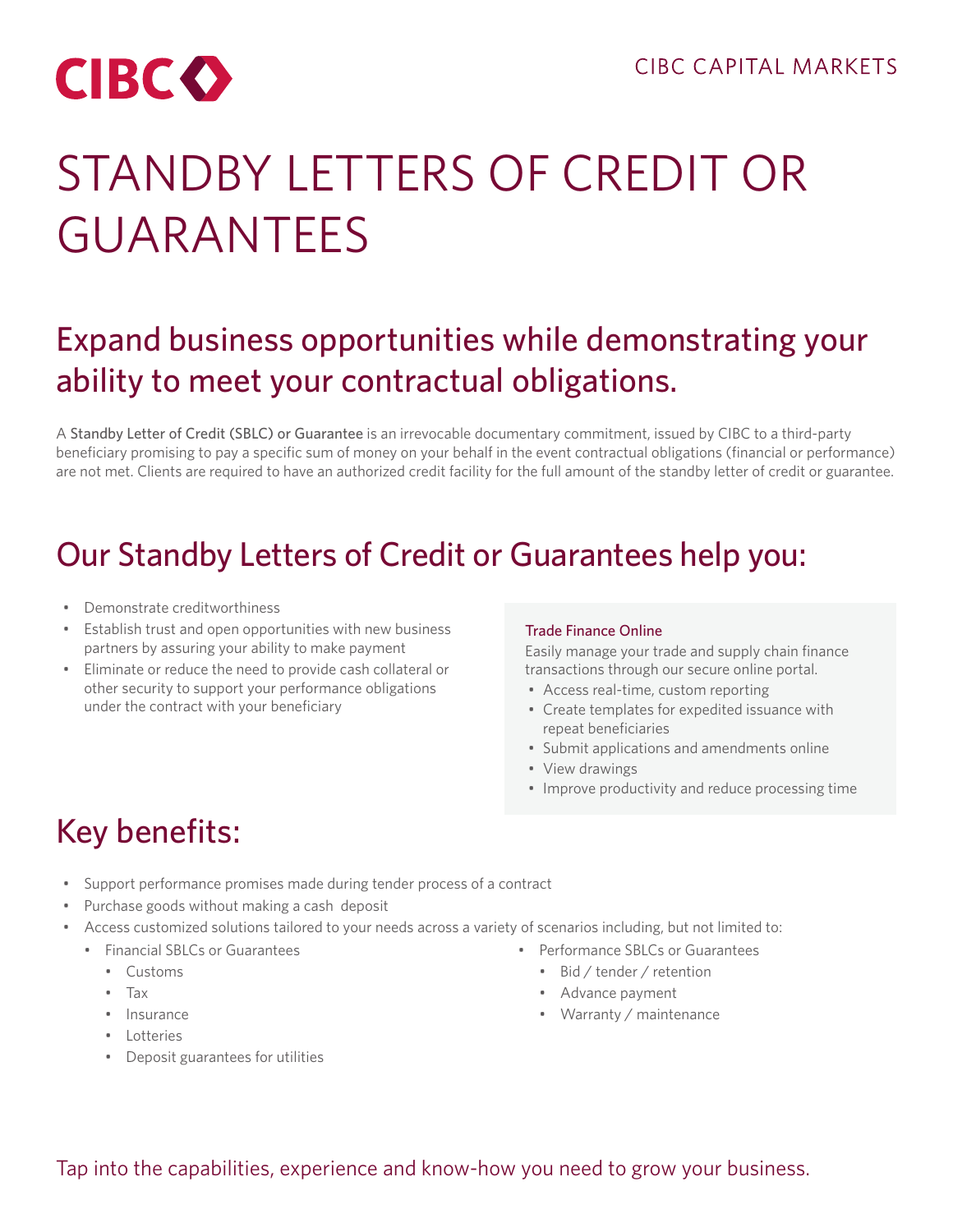

# STANDBY LETTERS OF CREDIT OR GUARANTEES

### Expand business opportunities while demonstrating your ability to meet your contractual obligations.

A Standby Letter of Credit (SBLC) or Guarantee is an irrevocable documentary commitment, issued by CIBC to a third-party beneficiary promising to pay a specific sum of money on your behalf in the event contractual obligations (financial or performance) are not met. Clients are required to have an authorized credit facility for the full amount of the standby letter of credit or guarantee.

### Our Standby Letters of Credit or Guarantees help you:

- Demonstrate creditworthiness
- Establish trust and open opportunities with new business partners by assuring your ability to make payment
- Eliminate or reduce the need to provide cash collateral or other security to support your performance obligations under the contract with your beneficiary

#### Trade Finance Online

Easily manage your trade and supply chain finance transactions through our secure online portal.

- Access real-time, custom reporting
- Create templates for expedited issuance with repeat beneficiaries
- Submit applications and amendments online
- View drawings
- Improve productivity and reduce processing time

# Key benefits:

- Support performance promises made during tender process of a contract
- Purchase goods without making a cash deposit
- Access customized solutions tailored to your needs across a variety of scenarios including, but not limited to:
	- Financial SBLCs or Guarantees
		- Customs
		- Tax
		- Insurance
		- Lotteries
		- Deposit guarantees for utilities
- Performance SBLCs or Guarantees
	- Bid / tender / retention
	- Advance payment
	- Warranty / maintenance

Tap into the capabilities, experience and know-how you need to grow your business.